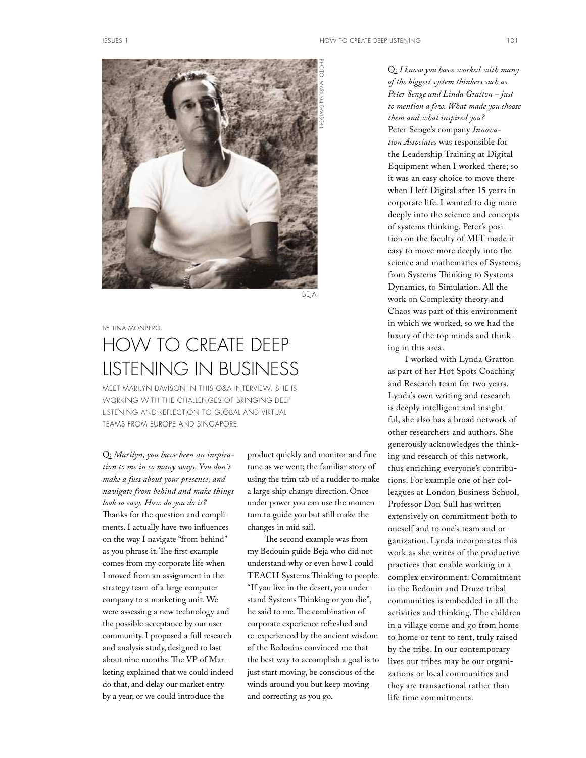

BEJA

## BY TINA MONBERG

# HOW TO CREATE DEEP LISTENING IN BUSINESS

MEET MARILYN DAVISON IN THIS Q&A INTERVIEW. SHE IS WORKING WITH THE CHALLENGES OF BRINGING DEEP LISTENING AND REFLECTION TO GLOBAL AND VIRTUAL TEAMS FROM EUROPE AND SINGAPORE.

Q: *Marilyn, you have been an inspiration to me in so many ways. You don´t make a fuss about your presence, and navigate from behind and make things look so easy. How do you do it?* Thanks for the question and compliments. I actually have two infuences on the way I navigate "from behind" as you phrase it. The first example comes from my corporate life when I moved from an assignment in the strategy team of a large computer company to a marketing unit. We were assessing a new technology and the possible acceptance by our user community. I proposed a full research and analysis study, designed to last about nine months. The VP of Marketing explained that we could indeed do that, and delay our market entry by a year, or we could introduce the

product quickly and monitor and fne tune as we went; the familiar story of using the trim tab of a rudder to make a large ship change direction. Once under power you can use the momentum to guide you but still make the changes in mid sail.

The second example was from my Bedouin guide Beja who did not understand why or even how I could TEACH Systems Thinking to people. "If you live in the desert, you understand Systems Thinking or you die", he said to me. The combination of corporate experience refreshed and re-experienced by the ancient wisdom of the Bedouins convinced me that the best way to accomplish a goal is to just start moving, be conscious of the winds around you but keep moving and correcting as you go.

Q: *I know you have worked with many of the biggest system thinkers such as Peter Senge and Linda Gratton – just to mention a few. What made you choose them and what inspired you?*  Peter Senge's company *Innovation Associates* was responsible for the Leadership Training at Digital Equipment when I worked there; so it was an easy choice to move there when I left Digital after 15 years in corporate life. I wanted to dig more deeply into the science and concepts of systems thinking. Peter's position on the faculty of MIT made it easy to move more deeply into the science and mathematics of Systems, from Systems Thinking to Systems Dynamics, to Simulation. All the work on Complexity theory and Chaos was part of this environment in which we worked, so we had the luxury of the top minds and thinking in this area.

I worked with Lynda Gratton as part of her Hot Spots Coaching and Research team for two years. Lynda's own writing and research is deeply intelligent and insightful, she also has a broad network of other researchers and authors. She generously acknowledges the thinking and research of this network, thus enriching everyone's contributions. For example one of her colleagues at London Business School, Professor Don Sull has written extensively on commitment both to oneself and to one's team and organization. Lynda incorporates this work as she writes of the productive practices that enable working in a complex environment. Commitment in the Bedouin and Druze tribal communities is embedded in all the activities and thinking. The children in a village come and go from home to home or tent to tent, truly raised by the tribe. In our contemporary lives our tribes may be our organizations or local communities and they are transactional rather than life time commitments.